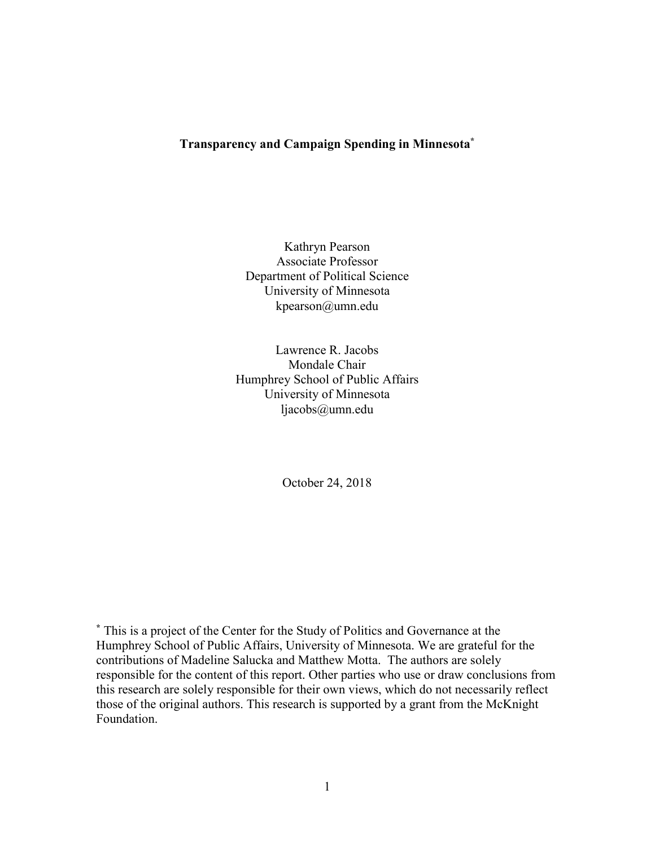## **Transparency and Campaign Spending in Minnesota\***

Kathryn Pearson Associate Professor Department of Political Science University of Minnesota kpearson@umn.edu

Lawrence R. Jacobs Mondale Chair Humphrey School of Public Affairs University of Minnesota ljacobs@umn.edu

October 24, 2018

**\*** This is a project of the Center for the Study of Politics and Governance at the Humphrey School of Public Affairs, University of Minnesota. We are grateful for the contributions of Madeline Salucka and Matthew Motta. The authors are solely responsible for the content of this report. Other parties who use or draw conclusions from this research are solely responsible for their own views, which do not necessarily reflect those of the original authors. This research is supported by a grant from the McKnight Foundation.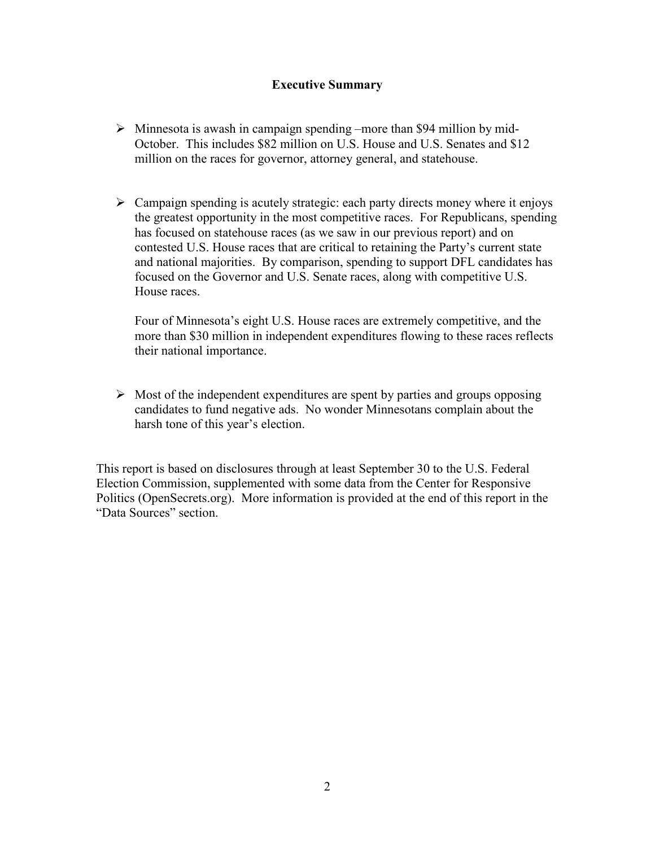# **Executive Summary**

- $\triangleright$  Minnesota is awash in campaign spending –more than \$94 million by mid-October. This includes \$82 million on U.S. House and U.S. Senates and \$12 million on the races for governor, attorney general, and statehouse.
- $\triangleright$  Campaign spending is acutely strategic: each party directs money where it enjoys the greatest opportunity in the most competitive races. For Republicans, spending has focused on statehouse races (as we saw in our previous report) and on contested U.S. House races that are critical to retaining the Party's current state and national majorities. By comparison, spending to support DFL candidates has focused on the Governor and U.S. Senate races, along with competitive U.S. House races.

Four of Minnesota's eight U.S. House races are extremely competitive, and the more than \$30 million in independent expenditures flowing to these races reflects their national importance.

 $\triangleright$  Most of the independent expenditures are spent by parties and groups opposing candidates to fund negative ads. No wonder Minnesotans complain about the harsh tone of this year's election.

This report is based on disclosures through at least September 30 to the U.S. Federal Election Commission, supplemented with some data from the Center for Responsive Politics (OpenSecrets.org). More information is provided at the end of this report in the "Data Sources" section.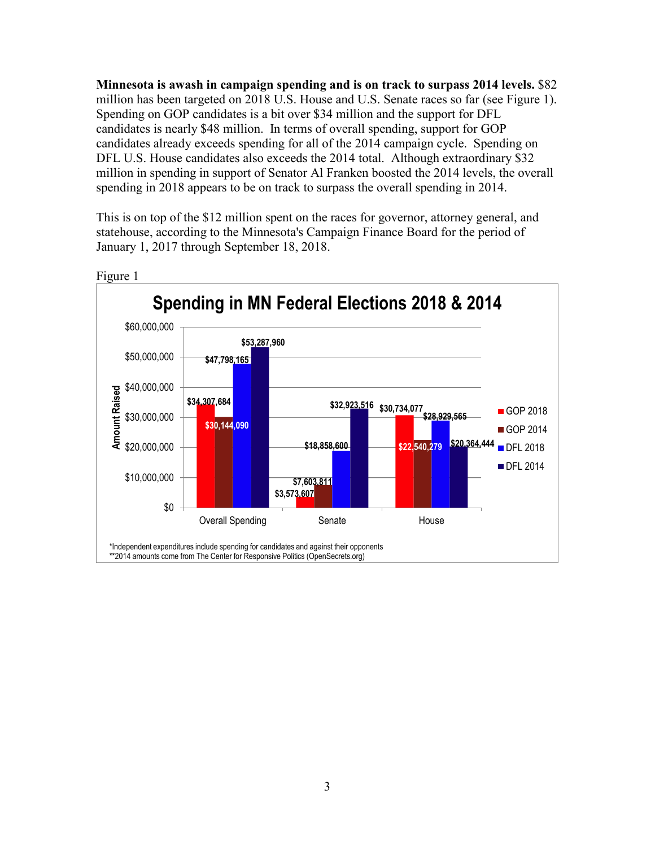**Minnesota is awash in campaign spending and is on track to surpass 2014 levels.** \$82 million has been targeted on 2018 U.S. House and U.S. Senate races so far (see Figure 1). Spending on GOP candidates is a bit over \$34 million and the support for DFL candidates is nearly \$48 million. In terms of overall spending, support for GOP candidates already exceeds spending for all of the 2014 campaign cycle. Spending on DFL U.S. House candidates also exceeds the 2014 total. Although extraordinary \$32 million in spending in support of Senator Al Franken boosted the 2014 levels, the overall spending in 2018 appears to be on track to surpass the overall spending in 2014.

This is on top of the \$12 million spent on the races for governor, attorney general, and statehouse, according to the Minnesota's Campaign Finance Board for the period of January 1, 2017 through September 18, 2018.



Figure 1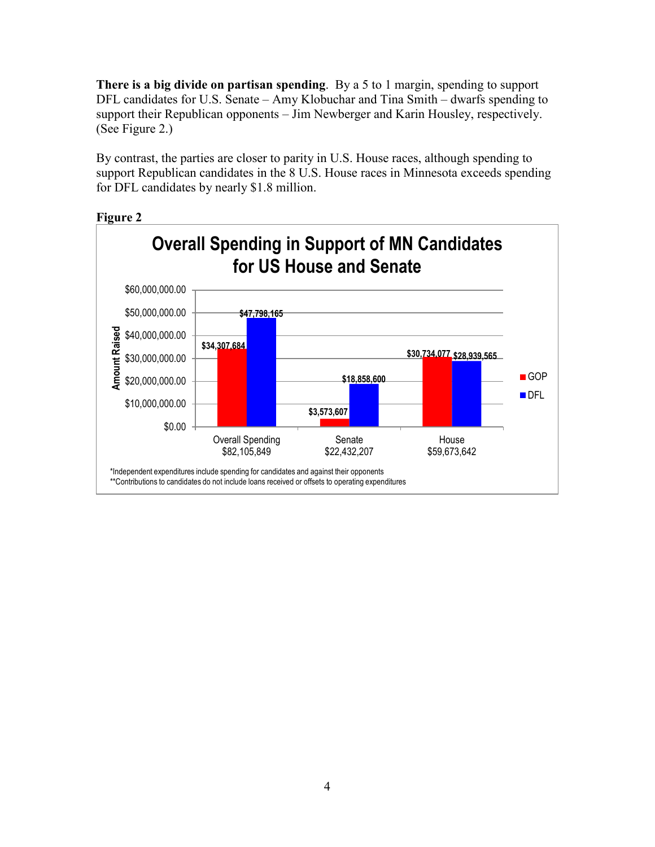**There is a big divide on partisan spending**. By a 5 to 1 margin, spending to support DFL candidates for U.S. Senate – Amy Klobuchar and Tina Smith – dwarfs spending to support their Republican opponents – Jim Newberger and Karin Housley, respectively. (See Figure 2.)

By contrast, the parties are closer to parity in U.S. House races, although spending to support Republican candidates in the 8 U.S. House races in Minnesota exceeds spending for DFL candidates by nearly \$1.8 million.



### **Figure 2**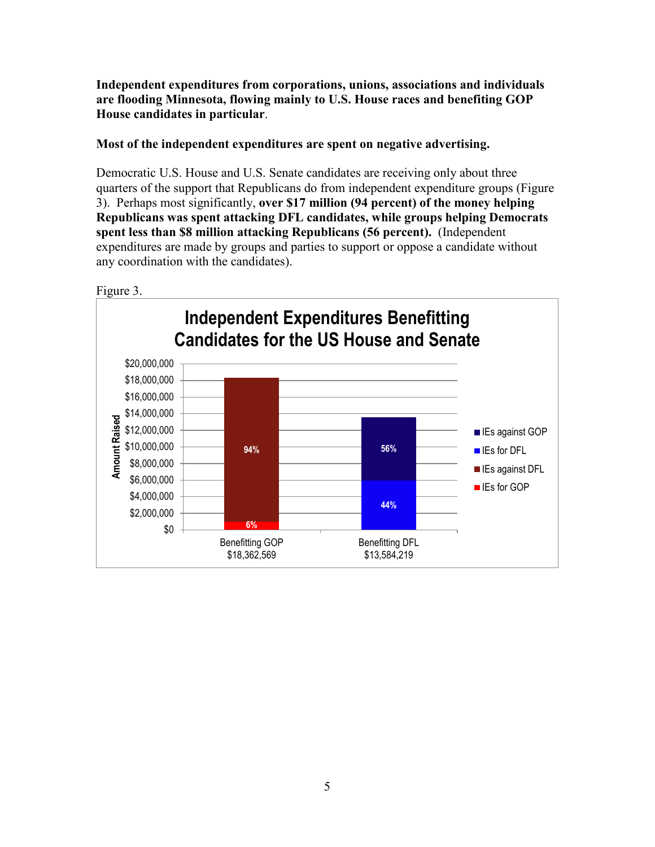**Independent expenditures from corporations, unions, associations and individuals are flooding Minnesota, flowing mainly to U.S. House races and benefiting GOP House candidates in particular**.

# **Most of the independent expenditures are spent on negative advertising.**

Democratic U.S. House and U.S. Senate candidates are receiving only about three quarters of the support that Republicans do from independent expenditure groups (Figure 3). Perhaps most significantly, **over \$17 million (94 percent) of the money helping Republicans was spent attacking DFL candidates, while groups helping Democrats spent less than \$8 million attacking Republicans (56 percent).** (Independent expenditures are made by groups and parties to support or oppose a candidate without any coordination with the candidates).

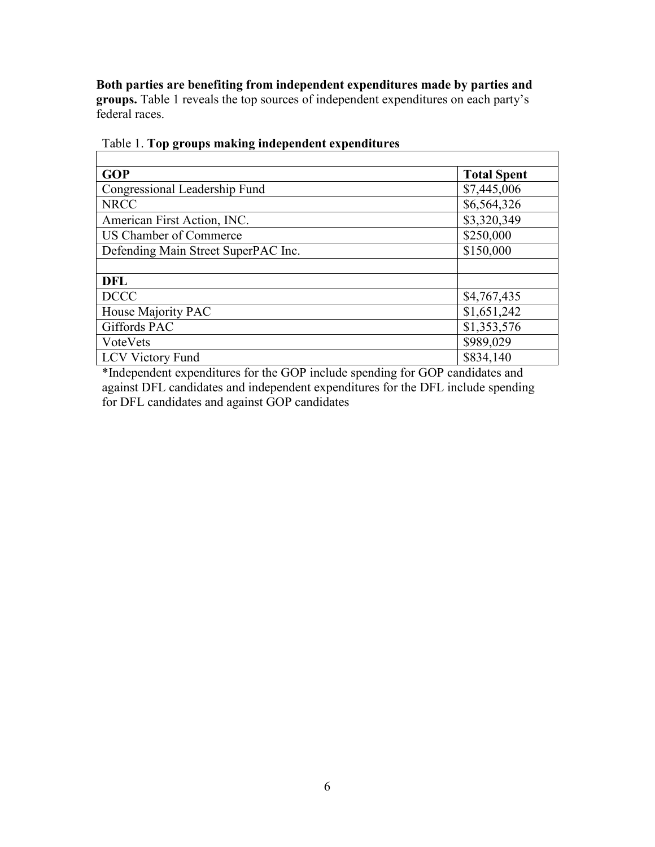**Both parties are benefiting from independent expenditures made by parties and groups.** Table 1 reveals the top sources of independent expenditures on each party's federal races.

| <b>GOP</b>                          | <b>Total Spent</b> |
|-------------------------------------|--------------------|
| Congressional Leadership Fund       | \$7,445,006        |
| <b>NRCC</b>                         | \$6,564,326        |
| American First Action, INC.         | \$3,320,349        |
| US Chamber of Commerce              | \$250,000          |
| Defending Main Street SuperPAC Inc. | \$150,000          |
|                                     |                    |
| <b>DFL</b>                          |                    |
| <b>DCCC</b>                         | \$4,767,435        |
| House Majority PAC                  | \$1,651,242        |
| Giffords PAC                        | \$1,353,576        |
| VoteVets                            | \$989,029          |
| <b>LCV Victory Fund</b>             | \$834,140          |

# Table 1. **Top groups making independent expenditures**

\*Independent expenditures for the GOP include spending for GOP candidates and against DFL candidates and independent expenditures for the DFL include spending for DFL candidates and against GOP candidates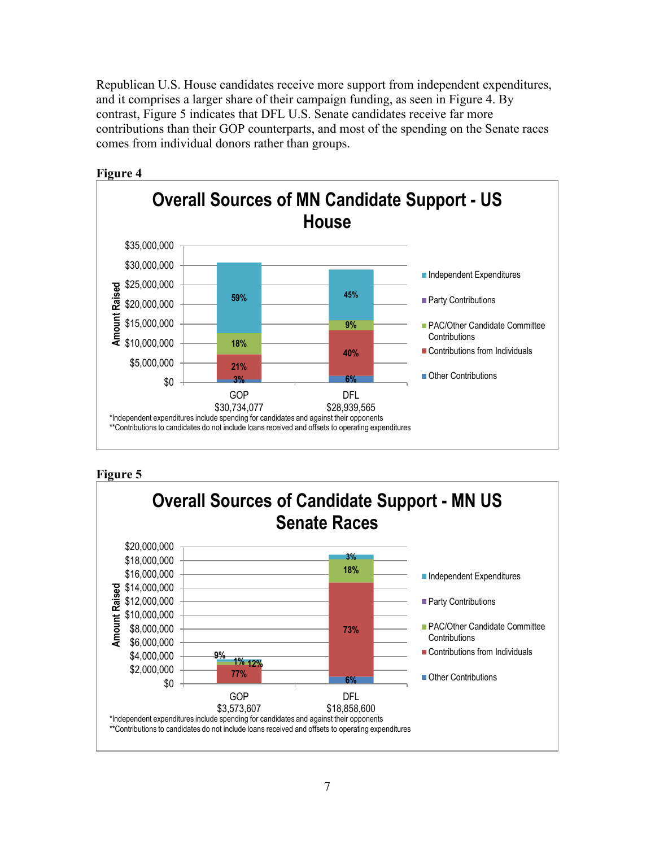Republican U.S. House candidates receive more support from independent expenditures, and it comprises a larger share of their campaign funding, as seen in Figure 4. By contrast, Figure 5 indicates that DFL U.S. Senate candidates receive far more contributions than their GOP counterparts, and most of the spending on the Senate races comes from individual donors rather than groups.



## **Figure 4**



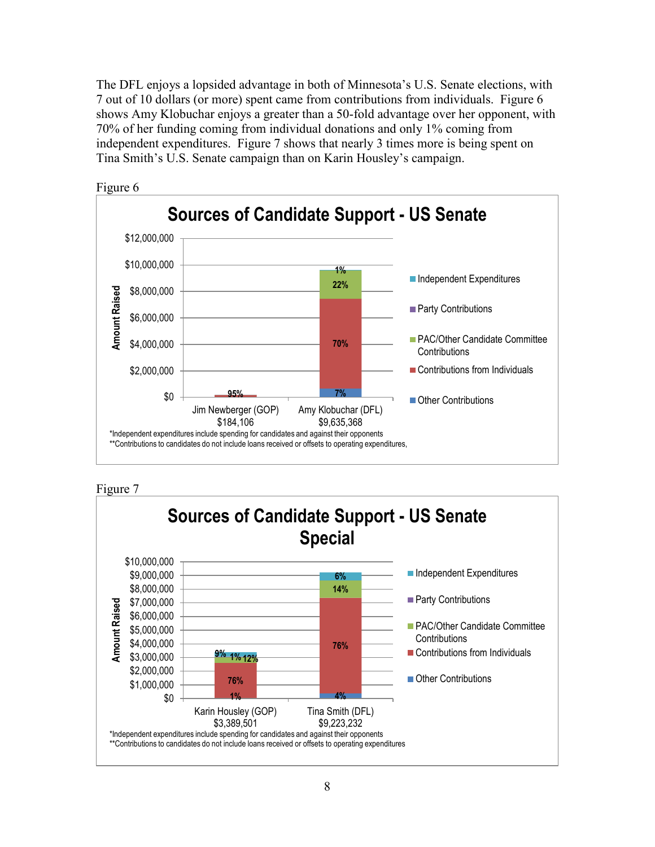The DFL enjoys a lopsided advantage in both of Minnesota's U.S. Senate elections, with 7 out of 10 dollars (or more) spent came from contributions from individuals. Figure 6 shows Amy Klobuchar enjoys a greater than a 50-fold advantage over her opponent, with 70% of her funding coming from individual donations and only 1% coming from independent expenditures. Figure 7 shows that nearly 3 times more is being spent on Tina Smith's U.S. Senate campaign than on Karin Housley's campaign.







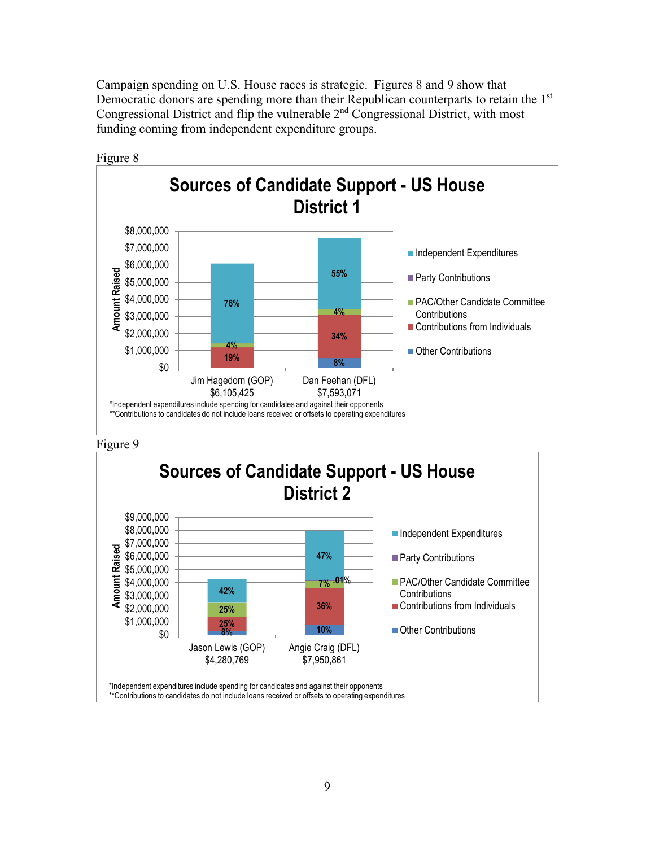Campaign spending on U.S. House races is strategic. Figures 8 and 9 show that Democratic donors are spending more than their Republican counterparts to retain the 1<sup>st</sup> Congressional District and flip the vulnerable 2nd Congressional District, with most funding coming from independent expenditure groups.





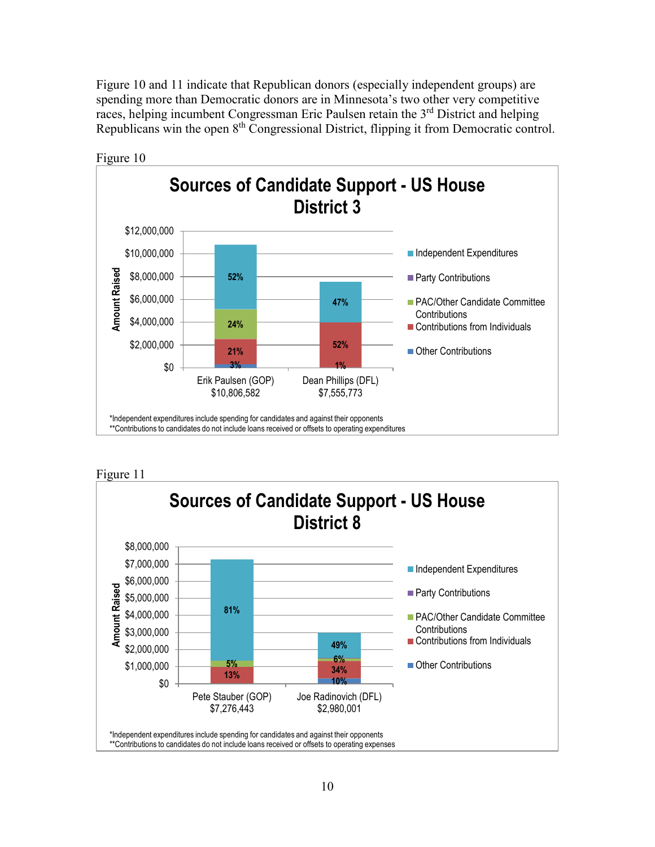Figure 10 and 11 indicate that Republican donors (especially independent groups) are spending more than Democratic donors are in Minnesota's two other very competitive races, helping incumbent Congressman Eric Paulsen retain the 3<sup>rd</sup> District and helping Republicans win the open 8<sup>th</sup> Congressional District, flipping it from Democratic control.